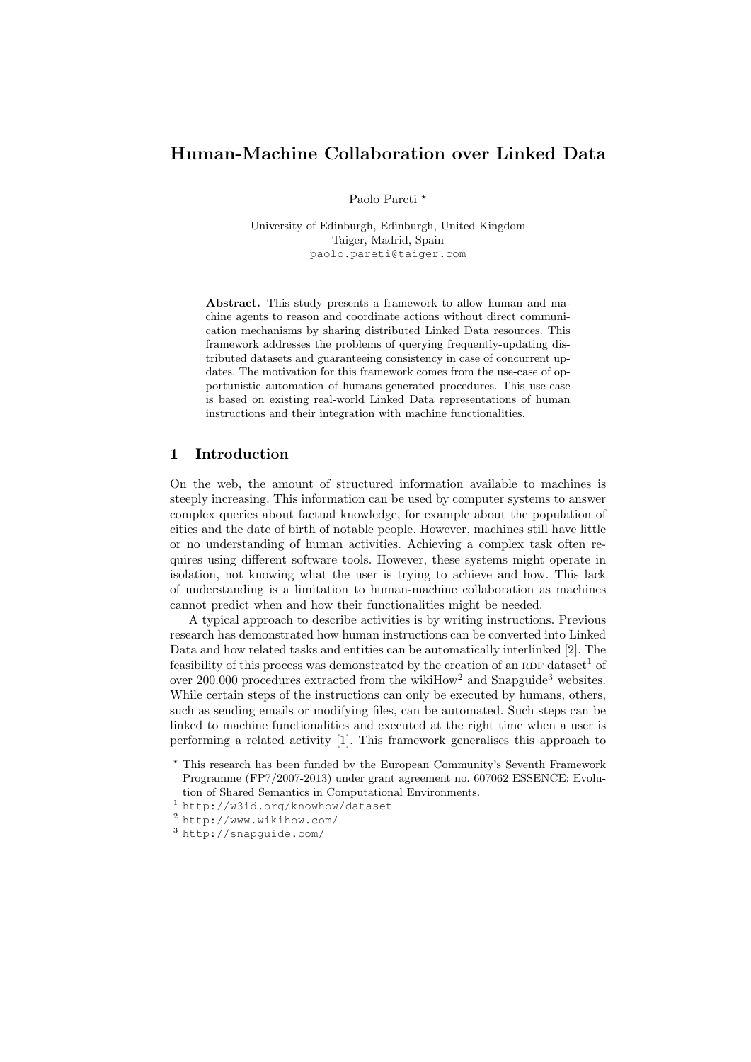# Human-Machine Collaboration over Linked Data

Paolo Pareti ?

University of Edinburgh, Edinburgh, United Kingdom Taiger, Madrid, Spain paolo.pareti@taiger.com

Abstract. This study presents a framework to allow human and machine agents to reason and coordinate actions without direct communication mechanisms by sharing distributed Linked Data resources. This framework addresses the problems of querying frequently-updating distributed datasets and guaranteeing consistency in case of concurrent updates. The motivation for this framework comes from the use-case of opportunistic automation of humans-generated procedures. This use-case is based on existing real-world Linked Data representations of human instructions and their integration with machine functionalities.

# 1 Introduction

On the web, the amount of structured information available to machines is steeply increasing. This information can be used by computer systems to answer complex queries about factual knowledge, for example about the population of cities and the date of birth of notable people. However, machines still have little or no understanding of human activities. Achieving a complex task often requires using different software tools. However, these systems might operate in isolation, not knowing what the user is trying to achieve and how. This lack of understanding is a limitation to human-machine collaboration as machines cannot predict when and how their functionalities might be needed.

A typical approach to describe activities is by writing instructions. Previous research has demonstrated how human instructions can be converted into Linked Data and how related tasks and entities can be automatically interlinked [2]. The feasibility of this process was demonstrated by the creation of an RDF dataset<sup>1</sup> of over 200.000 procedures extracted from the wikiHow<sup>2</sup> and Snapguide<sup>3</sup> websites. While certain steps of the instructions can only be executed by humans, others, such as sending emails or modifying files, can be automated. Such steps can be linked to machine functionalities and executed at the right time when a user is performing a related activity [1]. This framework generalises this approach to

<sup>?</sup> This research has been funded by the European Community's Seventh Framework Programme (FP7/2007-2013) under grant agreement no. 607062 ESSENCE: Evolution of Shared Semantics in Computational Environments.

<sup>1</sup> http://w3id.org/knowhow/dataset

<sup>2</sup> http://www.wikihow.com/

<sup>3</sup> http://snapguide.com/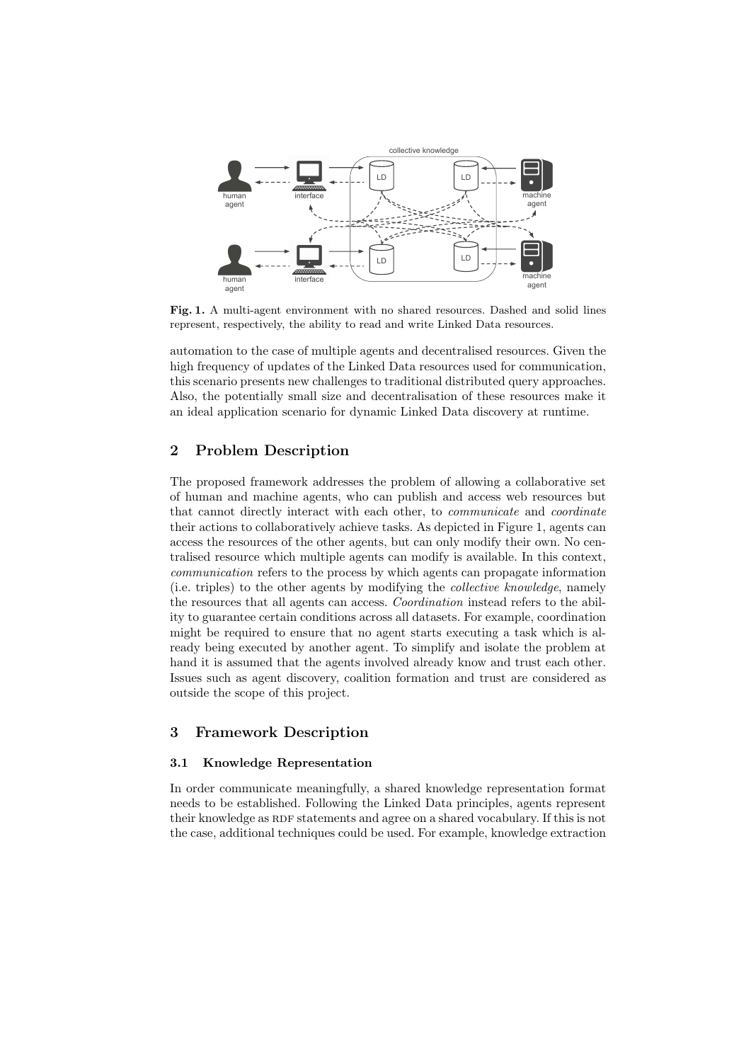

Fig. 1. A multi-agent environment with no shared resources. Dashed and solid lines represent, respectively, the ability to read and write Linked Data resources.

automation to the case of multiple agents and decentralised resources. Given the high frequency of updates of the Linked Data resources used for communication, this scenario presents new challenges to traditional distributed query approaches. Also, the potentially small size and decentralisation of these resources make it an ideal application scenario for dynamic Linked Data discovery at runtime.

# 2 Problem Description

The proposed framework addresses the problem of allowing a collaborative set of human and machine agents, who can publish and access web resources but that cannot directly interact with each other, to communicate and coordinate their actions to collaboratively achieve tasks. As depicted in Figure 1, agents can access the resources of the other agents, but can only modify their own. No centralised resource which multiple agents can modify is available. In this context, communication refers to the process by which agents can propagate information (i.e. triples) to the other agents by modifying the collective knowledge, namely the resources that all agents can access. Coordination instead refers to the ability to guarantee certain conditions across all datasets. For example, coordination might be required to ensure that no agent starts executing a task which is already being executed by another agent. To simplify and isolate the problem at hand it is assumed that the agents involved already know and trust each other. Issues such as agent discovery, coalition formation and trust are considered as outside the scope of this project.

### 3 Framework Description

#### 3.1 Knowledge Representation

In order communicate meaningfully, a shared knowledge representation format needs to be established. Following the Linked Data principles, agents represent their knowledge as RDF statements and agree on a shared vocabulary. If this is not the case, additional techniques could be used. For example, knowledge extraction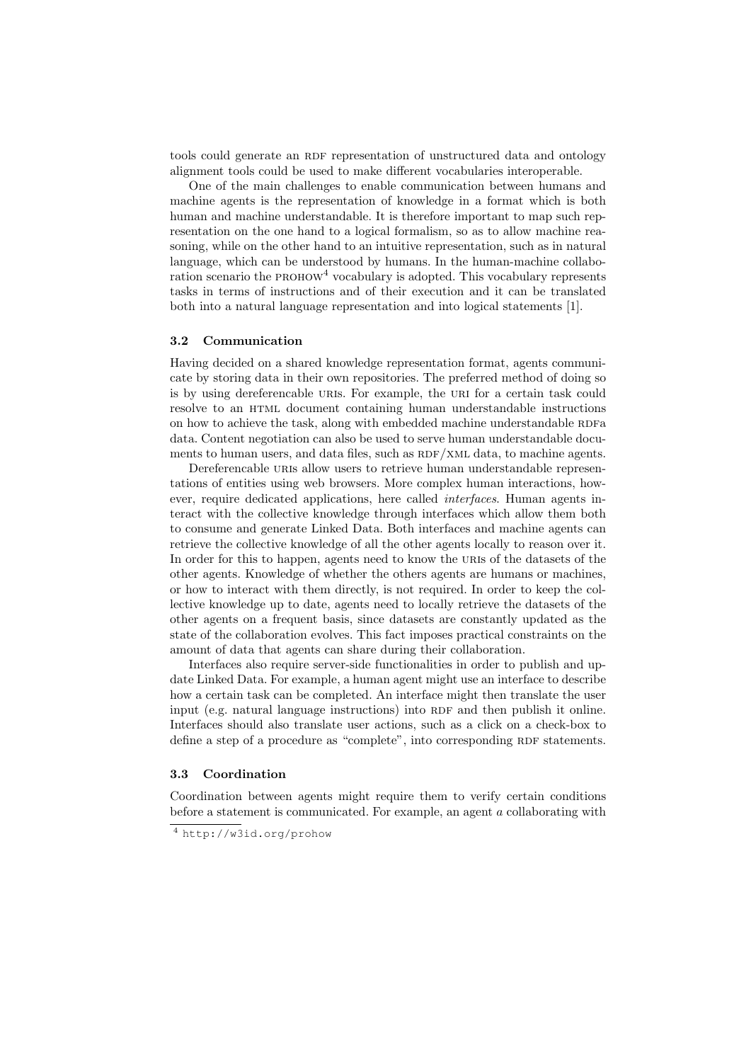tools could generate an RDF representation of unstructured data and ontology alignment tools could be used to make different vocabularies interoperable.

One of the main challenges to enable communication between humans and machine agents is the representation of knowledge in a format which is both human and machine understandable. It is therefore important to map such representation on the one hand to a logical formalism, so as to allow machine reasoning, while on the other hand to an intuitive representation, such as in natural language, which can be understood by humans. In the human-machine collaboration scenario the PROHOW<sup>4</sup> vocabulary is adopted. This vocabulary represents tasks in terms of instructions and of their execution and it can be translated both into a natural language representation and into logical statements [1].

#### 3.2 Communication

Having decided on a shared knowledge representation format, agents communicate by storing data in their own repositories. The preferred method of doing so is by using dereferencable URIS. For example, the URI for a certain task could resolve to an HTML document containing human understandable instructions on how to achieve the task, along with embedded machine understandable RDFa data. Content negotiation can also be used to serve human understandable documents to human users, and data files, such as  $RDF/XML$  data, to machine agents.

Dereferencable URIs allow users to retrieve human understandable representations of entities using web browsers. More complex human interactions, however, require dedicated applications, here called interfaces. Human agents interact with the collective knowledge through interfaces which allow them both to consume and generate Linked Data. Both interfaces and machine agents can retrieve the collective knowledge of all the other agents locally to reason over it. In order for this to happen, agents need to know the URIs of the datasets of the other agents. Knowledge of whether the others agents are humans or machines, or how to interact with them directly, is not required. In order to keep the collective knowledge up to date, agents need to locally retrieve the datasets of the other agents on a frequent basis, since datasets are constantly updated as the state of the collaboration evolves. This fact imposes practical constraints on the amount of data that agents can share during their collaboration.

Interfaces also require server-side functionalities in order to publish and update Linked Data. For example, a human agent might use an interface to describe how a certain task can be completed. An interface might then translate the user input (e.g. natural language instructions) into RDF and then publish it online. Interfaces should also translate user actions, such as a click on a check-box to define a step of a procedure as "complete", into corresponding RDF statements.

#### 3.3 Coordination

Coordination between agents might require them to verify certain conditions before a statement is communicated. For example, an agent a collaborating with

<sup>4</sup> http://w3id.org/prohow